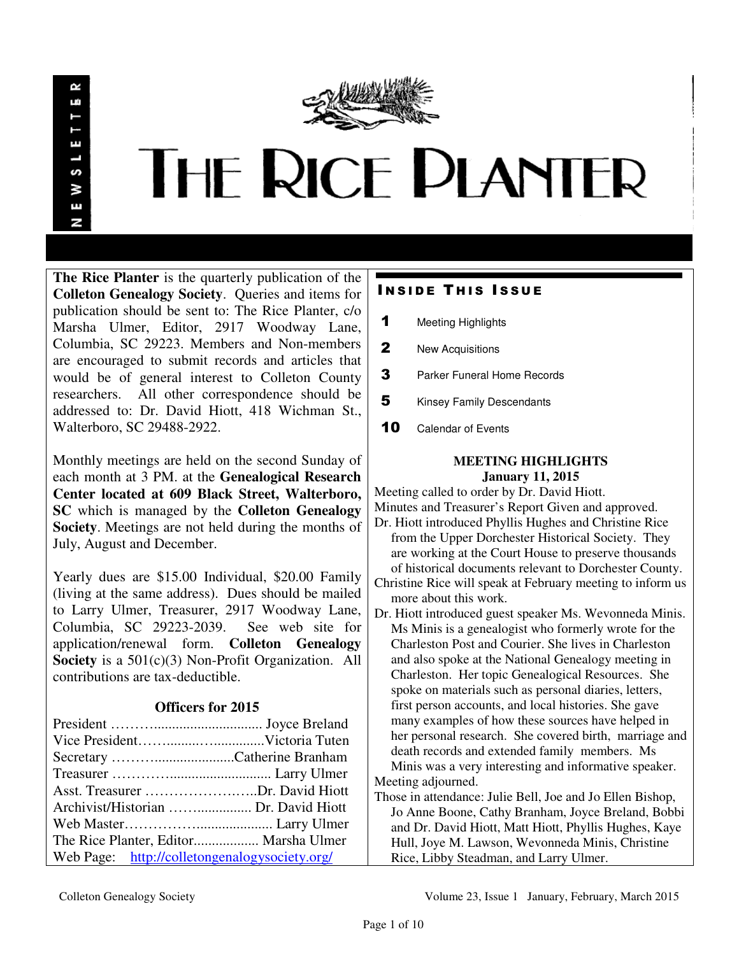

**The Rice Planter** is the quarterly publication of the **Colleton Genealogy Society**. Queries and items for publication should be sent to: The Rice Planter, c/o Marsha Ulmer, Editor, 2917 Woodway Lane, Columbia, SC 29223. Members and Non-members are encouraged to submit records and articles that would be of general interest to Colleton County researchers. All other correspondence should be addressed to: Dr. David Hiott, 418 Wichman St., Walterboro, SC 29488-2922.

Monthly meetings are held on the second Sunday of each month at 3 PM. at the **Genealogical Research Center located at 609 Black Street, Walterboro, SC** which is managed by the **Colleton Genealogy Society**. Meetings are not held during the months of July, August and December.

Yearly dues are \$15.00 Individual, \$20.00 Family (living at the same address). Dues should be mailed to Larry Ulmer, Treasurer, 2917 Woodway Lane, Columbia, SC 29223-2039. See web site for application/renewal form. **Colleton Genealogy Society** is a 501(c)(3) Non-Profit Organization. All contributions are tax-deductible.

# **Officers for 2015**

| Secretary Catherine Branham                   |  |
|-----------------------------------------------|--|
|                                               |  |
| Asst. Treasurer Dr. David Hiott               |  |
| Archivist/Historian  Dr. David Hiott          |  |
|                                               |  |
| The Rice Planter, Editor Marsha Ulmer         |  |
| Web Page: http://colletongenalogysociety.org/ |  |

# **INSIDE THIS ISSUE**

- 1 Meeting Highlights
- 2 New Acquisitions
- 3 Parker Funeral Home Records
- **5** Kinsey Family Descendants
- 10 Calendar of Events

# **MEETING HIGHLIGHTS January 11, 2015**

Meeting called to order by Dr. David Hiott. Minutes and Treasurer's Report Given and approved.

- Dr. Hiott introduced Phyllis Hughes and Christine Rice from the Upper Dorchester Historical Society. They are working at the Court House to preserve thousands of historical documents relevant to Dorchester County.
- Christine Rice will speak at February meeting to inform us more about this work.
- Dr. Hiott introduced guest speaker Ms. Wevonneda Minis. Ms Minis is a genealogist who formerly wrote for the Charleston Post and Courier. She lives in Charleston and also spoke at the National Genealogy meeting in Charleston. Her topic Genealogical Resources. She spoke on materials such as personal diaries, letters, first person accounts, and local histories. She gave many examples of how these sources have helped in her personal research. She covered birth, marriage and death records and extended family members. Ms Minis was a very interesting and informative speaker.
- Meeting adjourned.
- Those in attendance: Julie Bell, Joe and Jo Ellen Bishop, Jo Anne Boone, Cathy Branham, Joyce Breland, Bobbi and Dr. David Hiott, Matt Hiott, Phyllis Hughes, Kaye Hull, Joye M. Lawson, Wevonneda Minis, Christine Rice, Libby Steadman, and Larry Ulmer.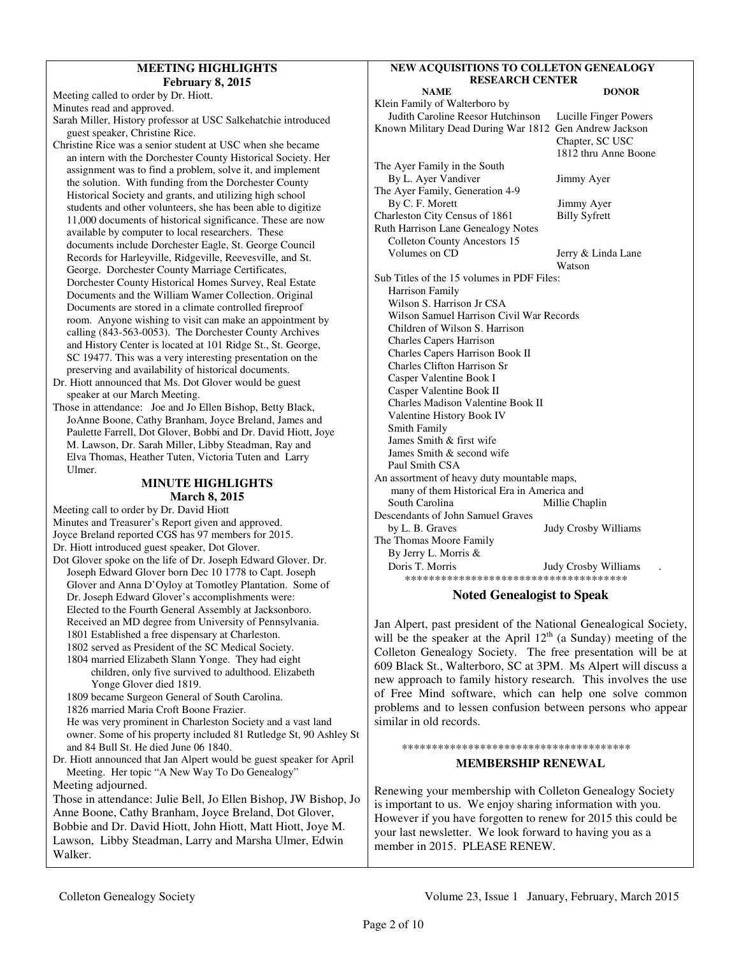## **MEETING HIGHLIGHTS February 8, 2015**

Meeting called to order by Dr. Hiott.

Minutes read and approved.

- Sarah Miller, History professor at USC Salkehatchie introduced guest speaker, Christine Rice.
- Christine Rice was a senior student at USC when she became an intern with the Dorchester County Historical Society. Her assignment was to find a problem, solve it, and implement the solution. With funding from the Dorchester County Historical Society and grants, and utilizing high school students and other volunteers, she has been able to digitize 11,000 documents of historical significance. These are now available by computer to local researchers. These documents include Dorchester Eagle, St. George Council Records for Harleyville, Ridgeville, Reevesville, and St. George. Dorchester County Marriage Certificates, Dorchester County Historical Homes Survey, Real Estate Documents and the William Wamer Collection. Original Documents are stored in a climate controlled fireproof room. Anyone wishing to visit can make an appointment by calling (843-563-0053). The Dorchester County Archives and History Center is located at 101 Ridge St., St. George, SC 19477. This was a very interesting presentation on the preserving and availability of historical documents.
- Dr. Hiott announced that Ms. Dot Glover would be guest speaker at our March Meeting.
- Those in attendance: Joe and Jo Ellen Bishop, Betty Black, JoAnne Boone, Cathy Branham, Joyce Breland, James and Paulette Farrell, Dot Glover, Bobbi and Dr. David Hiott, Joye M. Lawson, Dr. Sarah Miller, Libby Steadman, Ray and Elva Thomas, Heather Tuten, Victoria Tuten and Larry Ulmer.

# **MINUTE HIGHLIGHTS March 8, 2015**

Meeting call to order by Dr. David Hiott Minutes and Treasurer's Report given and approved. Joyce Breland reported CGS has 97 members for 2015. Dr. Hiott introduced guest speaker, Dot Glover. Dot Glover spoke on the life of Dr. Joseph Edward Glover. Dr. Joseph Edward Glover born Dec 10 1778 to Capt. Joseph Glover and Anna D'Oyloy at Tomotley Plantation. Some of Dr. Joseph Edward Glover's accomplishments were: Elected to the Fourth General Assembly at Jacksonboro. Received an MD degree from University of Pennsylvania. 1801 Established a free dispensary at Charleston. 1802 served as President of the SC Medical Society. 1804 married Elizabeth Slann Yonge. They had eight children, only five survived to adulthood. Elizabeth Yonge Glover died 1819. 1809 became Surgeon General of South Carolina. 1826 married Maria Croft Boone Frazier. He was very prominent in Charleston Society and a vast land owner. Some of his property included 81 Rutledge St, 90 Ashley St and 84 Bull St. He died June 06 1840. Dr. Hiott announced that Jan Alpert would be guest speaker for April Meeting. Her topic "A New Way To Do Genealogy" Meeting adjourned. Those in attendance: Julie Bell, Jo Ellen Bishop, JW Bishop, Jo Anne Boone, Cathy Branham, Joyce Breland, Dot Glover, Bobbie and Dr. David Hiott, John Hiott, Matt Hiott, Joye M. Lawson, Libby Steadman, Larry and Marsha Ulmer, Edwin Walker.

# **NEW ACQUISITIONS TO COLLETON GENEALOGY RESEARCH CENTER**

| <b>DONOR</b>                                           |
|--------------------------------------------------------|
|                                                        |
| Lucille Finger Powers                                  |
| Known Military Dead During War 1812 Gen Andrew Jackson |
| Chapter, SC USC                                        |
| 1812 thru Anne Boone                                   |
|                                                        |
| Jimmy Ayer                                             |
|                                                        |
| Jimmy Ayer                                             |
| <b>Billy Syfrett</b>                                   |
|                                                        |
|                                                        |
| Jerry & Linda Lane                                     |
| Watson                                                 |
| Sub Titles of the 15 volumes in PDF Files:             |
|                                                        |
|                                                        |
| Wilson Samuel Harrison Civil War Records               |
|                                                        |
|                                                        |
|                                                        |
|                                                        |
|                                                        |
|                                                        |
|                                                        |
|                                                        |
|                                                        |
|                                                        |
|                                                        |
|                                                        |
| An assortment of heavy duty mountable maps,            |
| many of them Historical Era in America and             |
| Millie Chaplin                                         |
|                                                        |
| <b>Judy Crosby Williams</b>                            |
|                                                        |
|                                                        |
| <b>Judy Crosby Williams</b>                            |
| *************************************                  |
|                                                        |

# **Noted Genealogist to Speak**

Jan Alpert, past president of the National Genealogical Society, will be the speaker at the April  $12<sup>th</sup>$  (a Sunday) meeting of the Colleton Genealogy Society. The free presentation will be at 609 Black St., Walterboro, SC at 3PM. Ms Alpert will discuss a new approach to family history research. This involves the use of Free Mind software, which can help one solve common problems and to lessen confusion between persons who appear similar in old records.

# \*\*\*\*\*\*\*\*\*\*\*\*\*\*\*\*\*\*\*\*\*\*\*\*\*\*\*\*\*\*\*\*\*\*\*\*\*\*

# **MEMBERSHIP RENEWAL**

Renewing your membership with Colleton Genealogy Society is important to us. We enjoy sharing information with you. However if you have forgotten to renew for 2015 this could be your last newsletter. We look forward to having you as a member in 2015. PLEASE RENEW.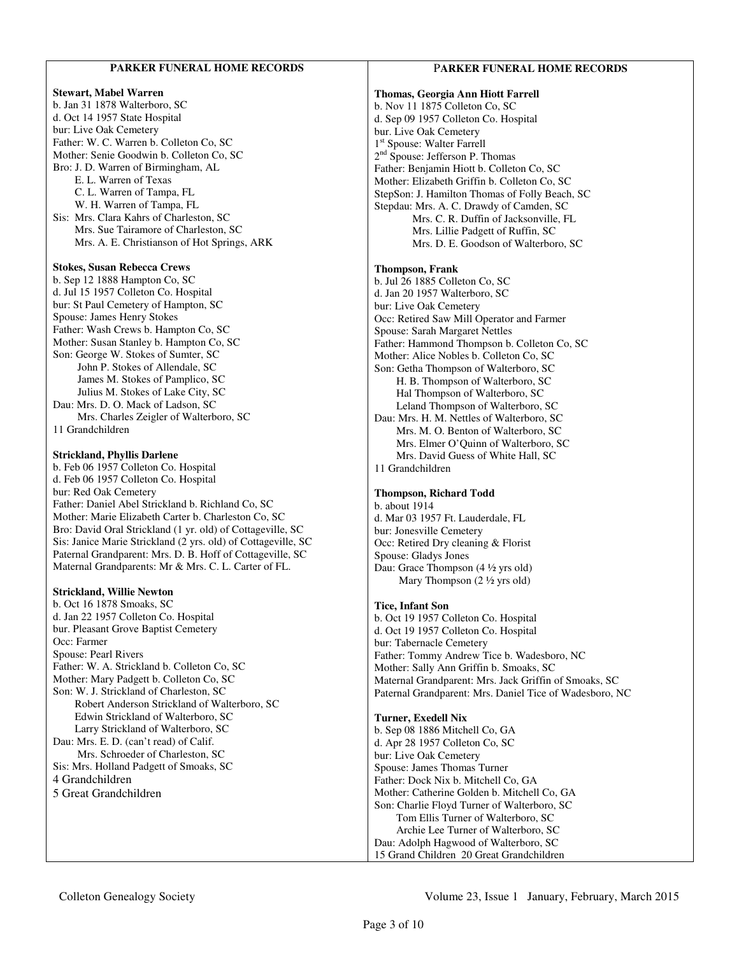# **PARKER FUNERAL HOME RECORDS**

#### **Stewart, Mabel Warren**

b. Jan 31 1878 Walterboro, SC d. Oct 14 1957 State Hospital bur: Live Oak Cemetery Father: W. C. Warren b. Colleton Co, SC Mother: Senie Goodwin b. Colleton Co, SC Bro: J. D. Warren of Birmingham, AL E. L. Warren of Texas C. L. Warren of Tampa, FL W. H. Warren of Tampa, FL Sis: Mrs. Clara Kahrs of Charleston, SC Mrs. Sue Tairamore of Charleston, SC Mrs. A. E. Christianson of Hot Springs, ARK

#### **Stokes, Susan Rebecca Crews**

b. Sep 12 1888 Hampton Co, SC d. Jul 15 1957 Colleton Co. Hospital bur: St Paul Cemetery of Hampton, SC Spouse: James Henry Stokes Father: Wash Crews b. Hampton Co, SC Mother: Susan Stanley b. Hampton Co, SC Son: George W. Stokes of Sumter, SC John P. Stokes of Allendale, SC James M. Stokes of Pamplico, SC Julius M. Stokes of Lake City, SC Dau: Mrs. D. O. Mack of Ladson, SC Mrs. Charles Zeigler of Walterboro, SC 11 Grandchildren

#### **Strickland, Phyllis Darlene**

b. Feb 06 1957 Colleton Co. Hospital d. Feb 06 1957 Colleton Co. Hospital bur: Red Oak Cemetery Father: Daniel Abel Strickland b. Richland Co, SC Mother: Marie Elizabeth Carter b. Charleston Co, SC Bro: David Oral Strickland (1 yr. old) of Cottageville, SC Sis: Janice Marie Strickland (2 yrs. old) of Cottageville, SC Paternal Grandparent: Mrs. D. B. Hoff of Cottageville, SC Maternal Grandparents: Mr & Mrs. C. L. Carter of FL.

#### **Strickland, Willie Newton**

b. Oct 16 1878 Smoaks, SC d. Jan 22 1957 Colleton Co. Hospital bur. Pleasant Grove Baptist Cemetery Occ: Farmer Spouse: Pearl Rivers Father: W. A. Strickland b. Colleton Co, SC Mother: Mary Padgett b. Colleton Co, SC Son: W. J. Strickland of Charleston, SC Robert Anderson Strickland of Walterboro, SC Edwin Strickland of Walterboro, SC Larry Strickland of Walterboro, SC Dau: Mrs. E. D. (can't read) of Calif. Mrs. Schroeder of Charleston, SC Sis: Mrs. Holland Padgett of Smoaks, SC 4 Grandchildren 5 Great Grandchildren

# P**ARKER FUNERAL HOME RECORDS**

#### **Thomas, Georgia Ann Hiott Farrell**  b. Nov 11 1875 Colleton Co, SC d. Sep 09 1957 Colleton Co. Hospital bur. Live Oak Cemetery 1 st Spouse: Walter Farrell 2<sup>nd</sup> Spouse: Jefferson P. Thomas Father: Benjamin Hiott b. Colleton Co, SC Mother: Elizabeth Griffin b. Colleton Co, SC StepSon: J. Hamilton Thomas of Folly Beach, SC Stepdau: Mrs. A. C. Drawdy of Camden, SC Mrs. C. R. Duffin of Jacksonville, FL Mrs. Lillie Padgett of Ruffin, SC Mrs. D. E. Goodson of Walterboro, SC

#### **Thompson, Frank**

b. Jul 26 1885 Colleton Co, SC d. Jan 20 1957 Walterboro, SC bur: Live Oak Cemetery Occ: Retired Saw Mill Operator and Farmer Spouse: Sarah Margaret Nettles Father: Hammond Thompson b. Colleton Co, SC Mother: Alice Nobles b. Colleton Co, SC Son: Getha Thompson of Walterboro, SC H. B. Thompson of Walterboro, SC Hal Thompson of Walterboro, SC Leland Thompson of Walterboro, SC Dau: Mrs. H. M. Nettles of Walterboro, SC Mrs. M. O. Benton of Walterboro, SC Mrs. Elmer O'Quinn of Walterboro, SC Mrs. David Guess of White Hall, SC 11 Grandchildren

#### **Thompson, Richard Todd**

b. about 1914 d. Mar 03 1957 Ft. Lauderdale, FL bur: Jonesville Cemetery Occ: Retired Dry cleaning & Florist Spouse: Gladys Jones Dau: Grace Thompson (4 ½ yrs old) Mary Thompson (2 ½ yrs old)

#### **Tice, Infant Son**

b. Oct 19 1957 Colleton Co. Hospital d. Oct 19 1957 Colleton Co. Hospital bur: Tabernacle Cemetery Father: Tommy Andrew Tice b. Wadesboro, NC Mother: Sally Ann Griffin b. Smoaks, SC Maternal Grandparent: Mrs. Jack Griffin of Smoaks, SC Paternal Grandparent: Mrs. Daniel Tice of Wadesboro, NC

#### **Turner, Exedell Nix** b. Sep 08 1886 Mitchell Co, GA d. Apr 28 1957 Colleton Co, SC bur: Live Oak Cemetery Spouse: James Thomas Turner Father: Dock Nix b. Mitchell Co, GA Mother: Catherine Golden b. Mitchell Co, GA Son: Charlie Floyd Turner of Walterboro, SC Tom Ellis Turner of Walterboro, SC Archie Lee Turner of Walterboro, SC Dau: Adolph Hagwood of Walterboro, SC 15 Grand Children 20 Great Grandchildren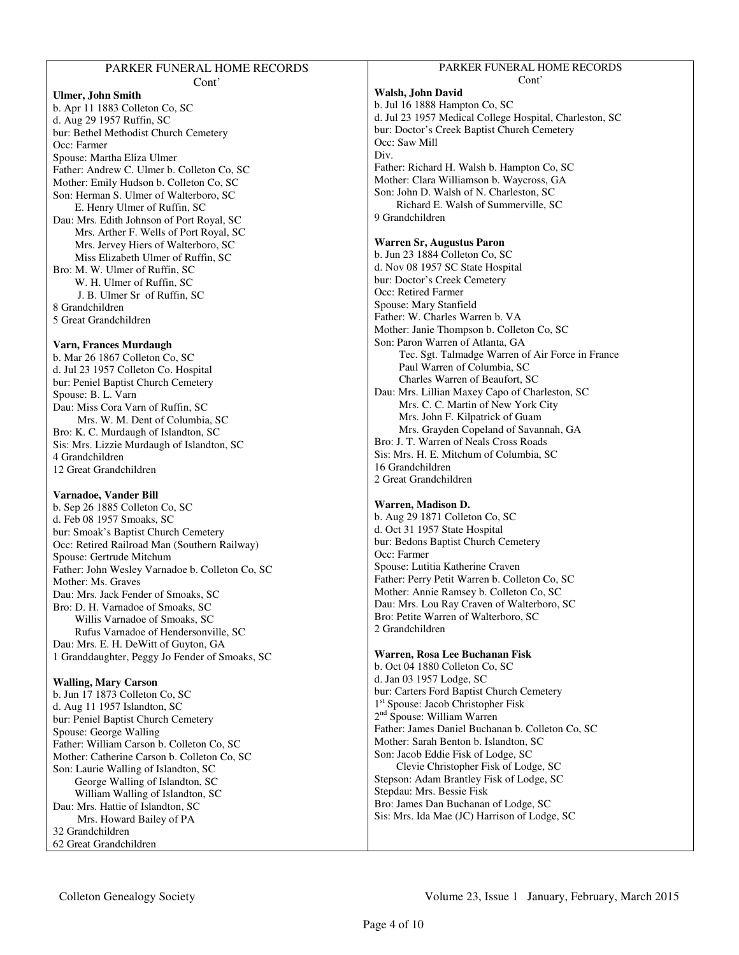# PARKER FUNERAL HOME RECORDS

#### Cont' **Ulmer, John Smith**  b. Apr 11 1883 Colleton Co, SC d. Aug 29 1957 Ruffin, SC bur: Bethel Methodist Church Cemetery Occ: Farmer Spouse: Martha Eliza Ulmer Father: Andrew C. Ulmer b. Colleton Co, SC Mother: Emily Hudson b. Colleton Co, SC Son: Herman S. Ulmer of Walterboro, SC E. Henry Ulmer of Ruffin, SC Dau: Mrs. Edith Johnson of Port Royal, SC Mrs. Arther F. Wells of Port Royal, SC Mrs. Jervey Hiers of Walterboro, SC Miss Elizabeth Ulmer of Ruffin, SC Bro: M. W. Ulmer of Ruffin, SC W. H. Ulmer of Ruffin, SC J. B. Ulmer Sr of Ruffin, SC 8 Grandchildren 5 Great Grandchildren

## **Varn, Frances Murdaugh**

b. Mar 26 1867 Colleton Co, SC d. Jul 23 1957 Colleton Co. Hospital bur: Peniel Baptist Church Cemetery Spouse: B. L. Varn Dau: Miss Cora Varn of Ruffin, SC Mrs. W. M. Dent of Columbia, SC Bro: K. C. Murdaugh of Islandton, SC Sis: Mrs. Lizzie Murdaugh of Islandton, SC 4 Grandchildren 12 Great Grandchildren

## **Varnadoe, Vander Bill**

b. Sep 26 1885 Colleton Co, SC d. Feb 08 1957 Smoaks, SC bur: Smoak's Baptist Church Cemetery Occ: Retired Railroad Man (Southern Railway) Spouse: Gertrude Mitchum Father: John Wesley Varnadoe b. Colleton Co, SC Mother: Ms. Graves Dau: Mrs. Jack Fender of Smoaks, SC Bro: D. H. Varnadoe of Smoaks, SC Willis Varnadoe of Smoaks, SC Rufus Varnadoe of Hendersonville, SC Dau: Mrs. E. H. DeWitt of Guyton, GA 1 Granddaughter, Peggy Jo Fender of Smoaks, SC

# **Walling, Mary Carson**

b. Jun 17 1873 Colleton Co, SC d. Aug 11 1957 Islandton, SC bur: Peniel Baptist Church Cemetery Spouse: George Walling Father: William Carson b. Colleton Co, SC Mother: Catherine Carson b. Colleton Co, SC Son: Laurie Walling of Islandton, SC George Walling of Islandton, SC William Walling of Islandton, SC Dau: Mrs. Hattie of Islandton, SC Mrs. Howard Bailey of PA 32 Grandchildren 62 Great Grandchildren

#### PARKER FUNERAL HOME RECORDS Cont'

# **Walsh, John David**

b. Jul 16 1888 Hampton Co, SC d. Jul 23 1957 Medical College Hospital, Charleston, SC bur: Doctor's Creek Baptist Church Cemetery Occ: Saw Mill Div. Father: Richard H. Walsh b. Hampton Co, SC Mother: Clara Williamson b. Waycross, GA Son: John D. Walsh of N. Charleston, SC Richard E. Walsh of Summerville, SC 9 Grandchildren

# **Warren Sr, Augustus Paron**

b. Jun 23 1884 Colleton Co, SC d. Nov 08 1957 SC State Hospital bur: Doctor's Creek Cemetery Occ: Retired Farmer Spouse: Mary Stanfield Father: W. Charles Warren b. VA Mother: Janie Thompson b. Colleton Co, SC Son: Paron Warren of Atlanta, GA Tec. Sgt. Talmadge Warren of Air Force in France Paul Warren of Columbia, SC Charles Warren of Beaufort, SC Dau: Mrs. Lillian Maxey Capo of Charleston, SC Mrs. C. C. Martin of New York City Mrs. John F. Kilpatrick of Guam Mrs. Grayden Copeland of Savannah, GA Bro: J. T. Warren of Neals Cross Roads Sis: Mrs. H. E. Mitchum of Columbia, SC 16 Grandchildren 2 Great Grandchildren

# **Warren, Madison D.**

b. Aug 29 1871 Colleton Co, SC d. Oct 31 1957 State Hospital bur: Bedons Baptist Church Cemetery Occ: Farmer Spouse: Lutitia Katherine Craven Father: Perry Petit Warren b. Colleton Co, SC Mother: Annie Ramsey b. Colleton Co, SC Dau: Mrs. Lou Ray Craven of Walterboro, SC Bro: Petite Warren of Walterboro, SC 2 Grandchildren

## **Warren, Rosa Lee Buchanan Fisk**

b. Oct 04 1880 Colleton Co, SC d. Jan 03 1957 Lodge, SC bur: Carters Ford Baptist Church Cemetery 1 st Spouse: Jacob Christopher Fisk 2<sup>nd</sup> Spouse: William Warren Father: James Daniel Buchanan b. Colleton Co, SC Mother: Sarah Benton b. Islandton, SC Son: Jacob Eddie Fisk of Lodge, SC Clevie Christopher Fisk of Lodge, SC Stepson: Adam Brantley Fisk of Lodge, SC Stepdau: Mrs. Bessie Fisk Bro: James Dan Buchanan of Lodge, SC Sis: Mrs. Ida Mae (JC) Harrison of Lodge, SC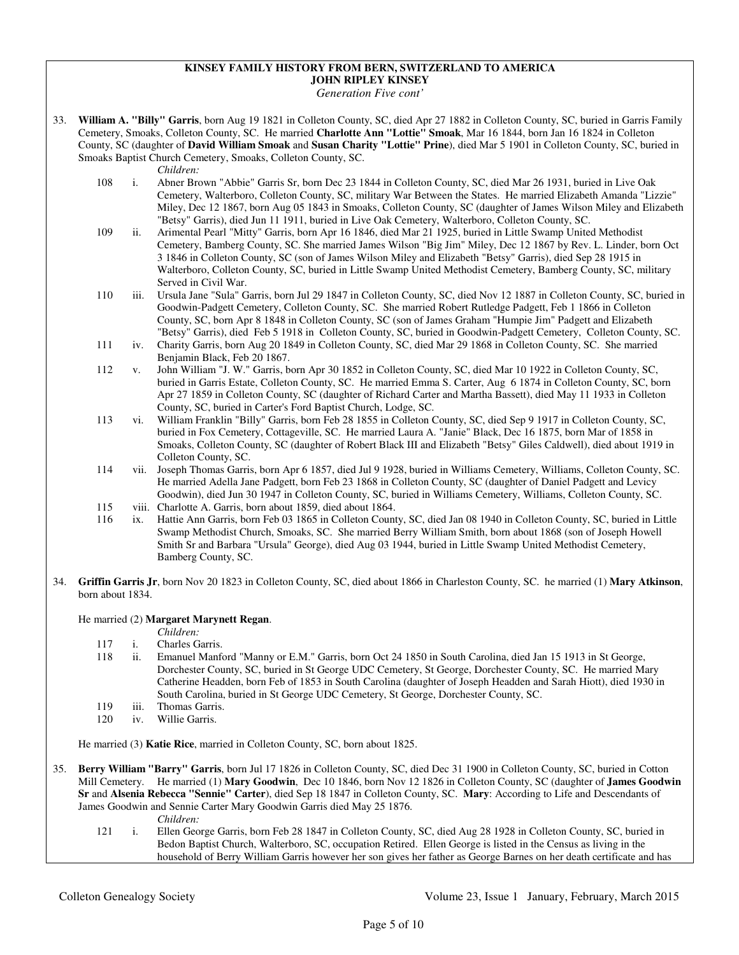#### **KINSEY FAMILY HISTORY FROM BERN, SWITZERLAND TO AMERICA JOHN RIPLEY KINSEY**

*Generation Five cont'* 

33. **William A. "Billy" Garris**, born Aug 19 1821 in Colleton County, SC, died Apr 27 1882 in Colleton County, SC, buried in Garris Family Cemetery, Smoaks, Colleton County, SC. He married **Charlotte Ann "Lottie" Smoak**, Mar 16 1844, born Jan 16 1824 in Colleton County, SC (daughter of **David William Smoak** and **Susan Charity "Lottie" Prine**), died Mar 5 1901 in Colleton County, SC, buried in Smoaks Baptist Church Cemetery, Smoaks, Colleton County, SC.

*Children:*

- 108 i. Abner Brown "Abbie" Garris Sr, born Dec 23 1844 in Colleton County, SC, died Mar 26 1931, buried in Live Oak Cemetery, Walterboro, Colleton County, SC, military War Between the States. He married Elizabeth Amanda "Lizzie" Miley, Dec 12 1867, born Aug 05 1843 in Smoaks, Colleton County, SC (daughter of James Wilson Miley and Elizabeth "Betsy" Garris), died Jun 11 1911, buried in Live Oak Cemetery, Walterboro, Colleton County, SC.
- 109 ii. Arimental Pearl "Mitty" Garris, born Apr 16 1846, died Mar 21 1925, buried in Little Swamp United Methodist Cemetery, Bamberg County, SC. She married James Wilson "Big Jim" Miley, Dec 12 1867 by Rev. L. Linder, born Oct 3 1846 in Colleton County, SC (son of James Wilson Miley and Elizabeth "Betsy" Garris), died Sep 28 1915 in Walterboro, Colleton County, SC, buried in Little Swamp United Methodist Cemetery, Bamberg County, SC, military Served in Civil War.
- 110 iii. Ursula Jane "Sula" Garris, born Jul 29 1847 in Colleton County, SC, died Nov 12 1887 in Colleton County, SC, buried in Goodwin-Padgett Cemetery, Colleton County, SC. She married Robert Rutledge Padgett, Feb 1 1866 in Colleton County, SC, born Apr 8 1848 in Colleton County, SC (son of James Graham "Humpie Jim" Padgett and Elizabeth "Betsy" Garris), died Feb 5 1918 in Colleton County, SC, buried in Goodwin-Padgett Cemetery, Colleton County, SC.
- 111 iv. Charity Garris, born Aug 20 1849 in Colleton County, SC, died Mar 29 1868 in Colleton County, SC. She married Benjamin Black, Feb 20 1867.
- 112 v. John William "J. W." Garris, born Apr 30 1852 in Colleton County, SC, died Mar 10 1922 in Colleton County, SC, buried in Garris Estate, Colleton County, SC. He married Emma S. Carter, Aug 6 1874 in Colleton County, SC, born Apr 27 1859 in Colleton County, SC (daughter of Richard Carter and Martha Bassett), died May 11 1933 in Colleton County, SC, buried in Carter's Ford Baptist Church, Lodge, SC.
- 113 vi. William Franklin "Billy" Garris, born Feb 28 1855 in Colleton County, SC, died Sep 9 1917 in Colleton County, SC, buried in Fox Cemetery, Cottageville, SC. He married Laura A. "Janie" Black, Dec 16 1875, born Mar of 1858 in Smoaks, Colleton County, SC (daughter of Robert Black III and Elizabeth "Betsy" Giles Caldwell), died about 1919 in Colleton County, SC.
- 114 vii. Joseph Thomas Garris, born Apr 6 1857, died Jul 9 1928, buried in Williams Cemetery, Williams, Colleton County, SC. He married Adella Jane Padgett, born Feb 23 1868 in Colleton County, SC (daughter of Daniel Padgett and Levicy Goodwin), died Jun 30 1947 in Colleton County, SC, buried in Williams Cemetery, Williams, Colleton County, SC.
- 115 viii. Charlotte A. Garris, born about 1859, died about 1864.
- 116 ix. Hattie Ann Garris, born Feb 03 1865 in Colleton County, SC, died Jan 08 1940 in Colleton County, SC, buried in Little Swamp Methodist Church, Smoaks, SC. She married Berry William Smith, born about 1868 (son of Joseph Howell Smith Sr and Barbara "Ursula" George), died Aug 03 1944, buried in Little Swamp United Methodist Cemetery, Bamberg County, SC.
- 34. **Griffin Garris Jr**, born Nov 20 1823 in Colleton County, SC, died about 1866 in Charleston County, SC. he married (1) **Mary Atkinson**, born about 1834.

## He married (2) **Margaret Marynett Regan**.

- 
- *Children:*<br>117 i. Charles Ga 117 i. Charles Garris.<br>118 ii. Emanuel Manf
- ii. Emanuel Manford "Manny or E.M." Garris, born Oct 24 1850 in South Carolina, died Jan 15 1913 in St George, Dorchester County, SC, buried in St George UDC Cemetery, St George, Dorchester County, SC. He married Mary Catherine Headden, born Feb of 1853 in South Carolina (daughter of Joseph Headden and Sarah Hiott), died 1930 in South Carolina, buried in St George UDC Cemetery, St George, Dorchester County, SC.
- 119 iii. Thomas Garris.
- 120 iv. Willie Garris.

He married (3) **Katie Rice**, married in Colleton County, SC, born about 1825.

35. **Berry William "Barry" Garris**, born Jul 17 1826 in Colleton County, SC, died Dec 31 1900 in Colleton County, SC, buried in Cotton Mill Cemetery. He married (1) **Mary Goodwin**, Dec 10 1846, born Nov 12 1826 in Colleton County, SC (daughter of **James Goodwin Sr** and **Alsenia Rebecca "Sennie" Carter**), died Sep 18 1847 in Colleton County, SC. **Mary**: According to Life and Descendants of James Goodwin and Sennie Carter Mary Goodwin Garris died May 25 1876.

- *Children:*
- 121 i. Ellen George Garris, born Feb 28 1847 in Colleton County, SC, died Aug 28 1928 in Colleton County, SC, buried in Bedon Baptist Church, Walterboro, SC, occupation Retired. Ellen George is listed in the Census as living in the household of Berry William Garris however her son gives her father as George Barnes on her death certificate and has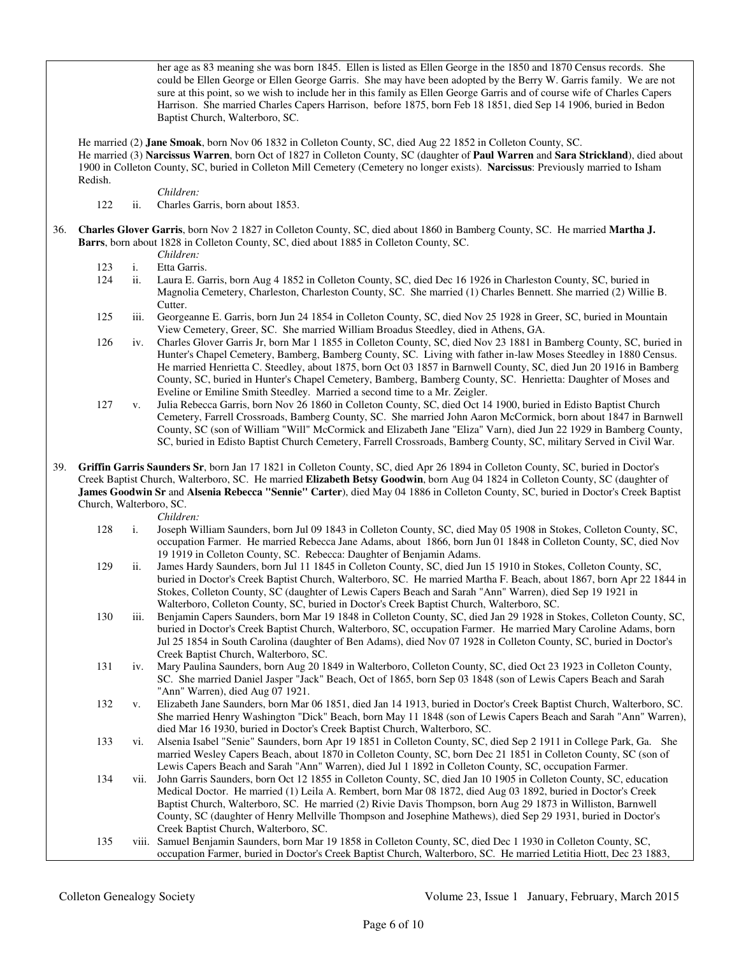her age as 83 meaning she was born 1845. Ellen is listed as Ellen George in the 1850 and 1870 Census records. She could be Ellen George or Ellen George Garris. She may have been adopted by the Berry W. Garris family. We are not sure at this point, so we wish to include her in this family as Ellen George Garris and of course wife of Charles Capers Harrison. She married Charles Capers Harrison, before 1875, born Feb 18 1851, died Sep 14 1906, buried in Bedon Baptist Church, Walterboro, SC.

 He married (2) **Jane Smoak**, born Nov 06 1832 in Colleton County, SC, died Aug 22 1852 in Colleton County, SC. He married (3) **Narcissus Warren**, born Oct of 1827 in Colleton County, SC (daughter of **Paul Warren** and **Sara Strickland**), died about 1900 in Colleton County, SC, buried in Colleton Mill Cemetery (Cemetery no longer exists). **Narcissus**: Previously married to Isham Redish.

*Children:*

122 ii. Charles Garris, born about 1853.

36. **Charles Glover Garris**, born Nov 2 1827 in Colleton County, SC, died about 1860 in Bamberg County, SC. He married **Martha J. Barrs**, born about 1828 in Colleton County, SC, died about 1885 in Colleton County, SC.

 *Children:* 123 i. Etta Garris.

- 124 ii. Laura E. Garris, born Aug 4 1852 in Colleton County, SC, died Dec 16 1926 in Charleston County, SC, buried in Magnolia Cemetery, Charleston, Charleston County, SC. She married (1) Charles Bennett. She married (2) Willie B. Cutter.
- 125 iii. Georgeanne E. Garris, born Jun 24 1854 in Colleton County, SC, died Nov 25 1928 in Greer, SC, buried in Mountain View Cemetery, Greer, SC. She married William Broadus Steedley, died in Athens, GA.
- 126 iv. Charles Glover Garris Jr, born Mar 1 1855 in Colleton County, SC, died Nov 23 1881 in Bamberg County, SC, buried in Hunter's Chapel Cemetery, Bamberg, Bamberg County, SC. Living with father in-law Moses Steedley in 1880 Census. He married Henrietta C. Steedley, about 1875, born Oct 03 1857 in Barnwell County, SC, died Jun 20 1916 in Bamberg County, SC, buried in Hunter's Chapel Cemetery, Bamberg, Bamberg County, SC. Henrietta: Daughter of Moses and Eveline or Emiline Smith Steedley. Married a second time to a Mr. Zeigler.
- 127 v. Julia Rebecca Garris, born Nov 26 1860 in Colleton County, SC, died Oct 14 1900, buried in Edisto Baptist Church Cemetery, Farrell Crossroads, Bamberg County, SC. She married John Aaron McCormick, born about 1847 in Barnwell County, SC (son of William "Will" McCormick and Elizabeth Jane "Eliza" Varn), died Jun 22 1929 in Bamberg County, SC, buried in Edisto Baptist Church Cemetery, Farrell Crossroads, Bamberg County, SC, military Served in Civil War.
- 39. **Griffin Garris Saunders Sr**, born Jan 17 1821 in Colleton County, SC, died Apr 26 1894 in Colleton County, SC, buried in Doctor's Creek Baptist Church, Walterboro, SC. He married **Elizabeth Betsy Goodwin**, born Aug 04 1824 in Colleton County, SC (daughter of **James Goodwin Sr** and **Alsenia Rebecca "Sennie" Carter**), died May 04 1886 in Colleton County, SC, buried in Doctor's Creek Baptist Church, Walterboro, SC.

- *Children:*<br>128 *i.* Joseph W 128 i. Joseph William Saunders, born Jul 09 1843 in Colleton County, SC, died May 05 1908 in Stokes, Colleton County, SC, occupation Farmer. He married Rebecca Jane Adams, about 1866, born Jun 01 1848 in Colleton County, SC, died Nov 19 1919 in Colleton County, SC. Rebecca: Daughter of Benjamin Adams.
- 129 ii. James Hardy Saunders, born Jul 11 1845 in Colleton County, SC, died Jun 15 1910 in Stokes, Colleton County, SC, buried in Doctor's Creek Baptist Church, Walterboro, SC. He married Martha F. Beach, about 1867, born Apr 22 1844 in Stokes, Colleton County, SC (daughter of Lewis Capers Beach and Sarah "Ann" Warren), died Sep 19 1921 in Walterboro, Colleton County, SC, buried in Doctor's Creek Baptist Church, Walterboro, SC.
- 130 iii. Benjamin Capers Saunders, born Mar 19 1848 in Colleton County, SC, died Jan 29 1928 in Stokes, Colleton County, SC, buried in Doctor's Creek Baptist Church, Walterboro, SC, occupation Farmer. He married Mary Caroline Adams, born Jul 25 1854 in South Carolina (daughter of Ben Adams), died Nov 07 1928 in Colleton County, SC, buried in Doctor's Creek Baptist Church, Walterboro, SC.
- 131 iv. Mary Paulina Saunders, born Aug 20 1849 in Walterboro, Colleton County, SC, died Oct 23 1923 in Colleton County, SC. She married Daniel Jasper "Jack" Beach, Oct of 1865, born Sep 03 1848 (son of Lewis Capers Beach and Sarah "Ann" Warren), died Aug 07 1921.
- 132 v. Elizabeth Jane Saunders, born Mar 06 1851, died Jan 14 1913, buried in Doctor's Creek Baptist Church, Walterboro, SC. She married Henry Washington "Dick" Beach, born May 11 1848 (son of Lewis Capers Beach and Sarah "Ann" Warren), died Mar 16 1930, buried in Doctor's Creek Baptist Church, Walterboro, SC.
- 133 vi. Alsenia Isabel "Senie" Saunders, born Apr 19 1851 in Colleton County, SC, died Sep 2 1911 in College Park, Ga. She married Wesley Capers Beach, about 1870 in Colleton County, SC, born Dec 21 1851 in Colleton County, SC (son of Lewis Capers Beach and Sarah "Ann" Warren), died Jul 1 1892 in Colleton County, SC, occupation Farmer.
- 134 vii. John Garris Saunders, born Oct 12 1855 in Colleton County, SC, died Jan 10 1905 in Colleton County, SC, education Medical Doctor. He married (1) Leila A. Rembert, born Mar 08 1872, died Aug 03 1892, buried in Doctor's Creek Baptist Church, Walterboro, SC. He married (2) Rivie Davis Thompson, born Aug 29 1873 in Williston, Barnwell County, SC (daughter of Henry Mellville Thompson and Josephine Mathews), died Sep 29 1931, buried in Doctor's Creek Baptist Church, Walterboro, SC.
- 135 viii. Samuel Benjamin Saunders, born Mar 19 1858 in Colleton County, SC, died Dec 1 1930 in Colleton County, SC, occupation Farmer, buried in Doctor's Creek Baptist Church, Walterboro, SC. He married Letitia Hiott, Dec 23 1883,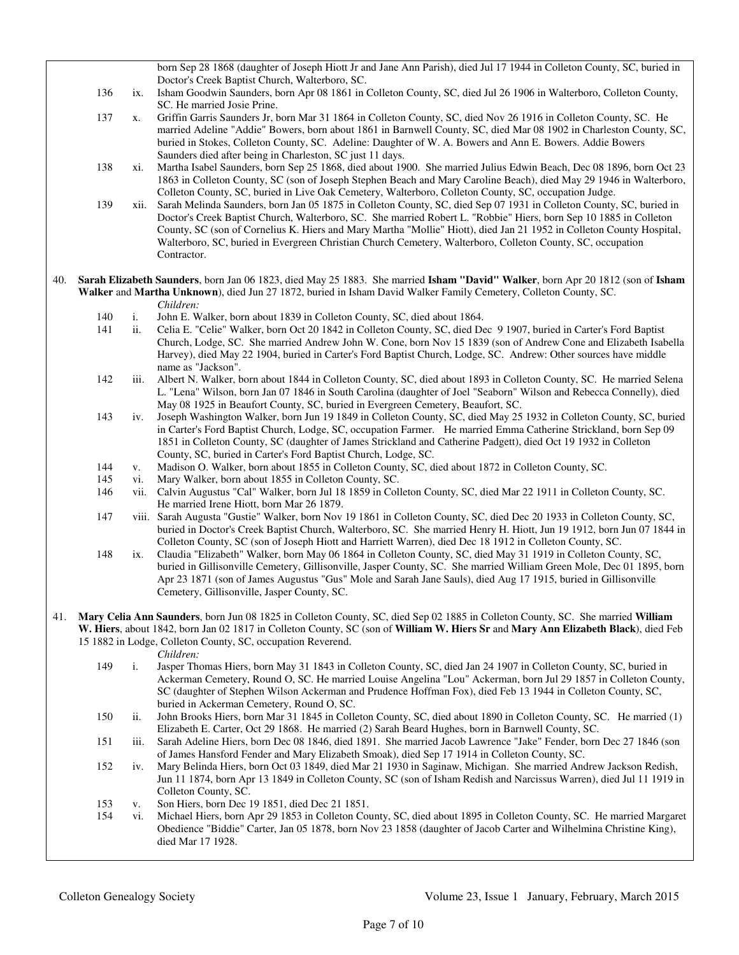|     |                                                                                                                                                                                                                                                                 |                | born Sep 28 1868 (daughter of Joseph Hiott Jr and Jane Ann Parish), died Jul 17 1944 in Colleton County, SC, buried in                                                                                                                                                                                                                                                                                                                                                                        |
|-----|-----------------------------------------------------------------------------------------------------------------------------------------------------------------------------------------------------------------------------------------------------------------|----------------|-----------------------------------------------------------------------------------------------------------------------------------------------------------------------------------------------------------------------------------------------------------------------------------------------------------------------------------------------------------------------------------------------------------------------------------------------------------------------------------------------|
|     |                                                                                                                                                                                                                                                                 |                | Doctor's Creek Baptist Church, Walterboro, SC.                                                                                                                                                                                                                                                                                                                                                                                                                                                |
|     | 136                                                                                                                                                                                                                                                             | ix.            | Isham Goodwin Saunders, born Apr 08 1861 in Colleton County, SC, died Jul 26 1906 in Walterboro, Colleton County,                                                                                                                                                                                                                                                                                                                                                                             |
|     |                                                                                                                                                                                                                                                                 |                | SC. He married Josie Prine.                                                                                                                                                                                                                                                                                                                                                                                                                                                                   |
|     | 137                                                                                                                                                                                                                                                             | X.             | Griffin Garris Saunders Jr, born Mar 31 1864 in Colleton County, SC, died Nov 26 1916 in Colleton County, SC. He<br>married Adeline "Addie" Bowers, born about 1861 in Barnwell County, SC, died Mar 08 1902 in Charleston County, SC,<br>buried in Stokes, Colleton County, SC. Adeline: Daughter of W. A. Bowers and Ann E. Bowers. Addie Bowers<br>Saunders died after being in Charleston, SC just 11 days.                                                                               |
|     | 138                                                                                                                                                                                                                                                             | xi.            | Martha Isabel Saunders, born Sep 25 1868, died about 1900. She married Julius Edwin Beach, Dec 08 1896, born Oct 23<br>1863 in Colleton County, SC (son of Joseph Stephen Beach and Mary Caroline Beach), died May 29 1946 in Walterboro,<br>Colleton County, SC, buried in Live Oak Cemetery, Walterboro, Colleton County, SC, occupation Judge.                                                                                                                                             |
|     | 139                                                                                                                                                                                                                                                             | xii.           | Sarah Melinda Saunders, born Jan 05 1875 in Colleton County, SC, died Sep 07 1931 in Colleton County, SC, buried in<br>Doctor's Creek Baptist Church, Walterboro, SC. She married Robert L. "Robbie" Hiers, born Sep 10 1885 in Colleton<br>County, SC (son of Cornelius K. Hiers and Mary Martha "Mollie" Hiott), died Jan 21 1952 in Colleton County Hospital,<br>Walterboro, SC, buried in Evergreen Christian Church Cemetery, Walterboro, Colleton County, SC, occupation<br>Contractor. |
| 40. | Sarah Elizabeth Saunders, born Jan 06 1823, died May 25 1883. She married Isham "David" Walker, born Apr 20 1812 (son of Isham<br>Walker and Martha Unknown), died Jun 27 1872, buried in Isham David Walker Family Cemetery, Colleton County, SC.<br>Children: |                |                                                                                                                                                                                                                                                                                                                                                                                                                                                                                               |
|     | 140                                                                                                                                                                                                                                                             | i.             | John E. Walker, born about 1839 in Colleton County, SC, died about 1864.                                                                                                                                                                                                                                                                                                                                                                                                                      |
|     | 141                                                                                                                                                                                                                                                             | ii.            | Celia E. "Celie" Walker, born Oct 20 1842 in Colleton County, SC, died Dec 9 1907, buried in Carter's Ford Baptist<br>Church, Lodge, SC. She married Andrew John W. Cone, born Nov 15 1839 (son of Andrew Cone and Elizabeth Isabella<br>Harvey), died May 22 1904, buried in Carter's Ford Baptist Church, Lodge, SC. Andrew: Other sources have middle<br>name as "Jackson".                                                                                                                |
|     | 142                                                                                                                                                                                                                                                             | iii.           | Albert N. Walker, born about 1844 in Colleton County, SC, died about 1893 in Colleton County, SC. He married Selena<br>L. "Lena" Wilson, born Jan 07 1846 in South Carolina (daughter of Joel "Seaborn" Wilson and Rebecca Connelly), died<br>May 08 1925 in Beaufort County, SC, buried in Evergreen Cemetery, Beaufort, SC.                                                                                                                                                                 |
|     | 143                                                                                                                                                                                                                                                             | iv.            | Joseph Washington Walker, born Jun 19 1849 in Colleton County, SC, died May 25 1932 in Colleton County, SC, buried<br>in Carter's Ford Baptist Church, Lodge, SC, occupation Farmer. He married Emma Catherine Strickland, born Sep 09<br>1851 in Colleton County, SC (daughter of James Strickland and Catherine Padgett), died Oct 19 1932 in Colleton<br>County, SC, buried in Carter's Ford Baptist Church, Lodge, SC.                                                                    |
|     | 144                                                                                                                                                                                                                                                             | V.             | Madison O. Walker, born about 1855 in Colleton County, SC, died about 1872 in Colleton County, SC.                                                                                                                                                                                                                                                                                                                                                                                            |
|     | 145                                                                                                                                                                                                                                                             | vi.            | Mary Walker, born about 1855 in Colleton County, SC.                                                                                                                                                                                                                                                                                                                                                                                                                                          |
|     | 146                                                                                                                                                                                                                                                             | vii.           | Calvin Augustus "Cal" Walker, born Jul 18 1859 in Colleton County, SC, died Mar 22 1911 in Colleton County, SC.                                                                                                                                                                                                                                                                                                                                                                               |
|     |                                                                                                                                                                                                                                                                 |                | He married Irene Hiott, born Mar 26 1879.                                                                                                                                                                                                                                                                                                                                                                                                                                                     |
|     | 147                                                                                                                                                                                                                                                             |                | viii. Sarah Augusta "Gustie" Walker, born Nov 19 1861 in Colleton County, SC, died Dec 20 1933 in Colleton County, SC,<br>buried in Doctor's Creek Baptist Church, Walterboro, SC. She married Henry H. Hiott, Jun 19 1912, born Jun 07 1844 in<br>Colleton County, SC (son of Joseph Hiott and Harriett Warren), died Dec 18 1912 in Colleton County, SC.                                                                                                                                    |
|     | 148                                                                                                                                                                                                                                                             | ix.            | Claudia "Elizabeth" Walker, born May 06 1864 in Colleton County, SC, died May 31 1919 in Colleton County, SC,<br>buried in Gillisonville Cemetery, Gillisonville, Jasper County, SC. She married William Green Mole, Dec 01 1895, born<br>Apr 23 1871 (son of James Augustus "Gus" Mole and Sarah Jane Sauls), died Aug 17 1915, buried in Gillisonville<br>Cemetery, Gillisonville, Jasper County, SC.                                                                                       |
| 41. |                                                                                                                                                                                                                                                                 |                | Mary Celia Ann Saunders, born Jun 08 1825 in Colleton County, SC, died Sep 02 1885 in Colleton County, SC. She married William                                                                                                                                                                                                                                                                                                                                                                |
|     |                                                                                                                                                                                                                                                                 |                | W. Hiers, about 1842, born Jan 02 1817 in Colleton County, SC (son of William W. Hiers Sr and Mary Ann Elizabeth Black), died Feb                                                                                                                                                                                                                                                                                                                                                             |
|     |                                                                                                                                                                                                                                                                 |                | 15 1882 in Lodge, Colleton County, SC, occupation Reverend.<br>Children:                                                                                                                                                                                                                                                                                                                                                                                                                      |
|     | 149                                                                                                                                                                                                                                                             | $\mathbf{i}$ . | Jasper Thomas Hiers, born May 31 1843 in Colleton County, SC, died Jan 24 1907 in Colleton County, SC, buried in<br>Ackerman Cemetery, Round O, SC. He married Louise Angelina "Lou" Ackerman, born Jul 29 1857 in Colleton County,<br>SC (daughter of Stephen Wilson Ackerman and Prudence Hoffman Fox), died Feb 13 1944 in Colleton County, SC,<br>buried in Ackerman Cemetery, Round O, SC.                                                                                               |
|     | 150                                                                                                                                                                                                                                                             | ii.            | John Brooks Hiers, born Mar 31 1845 in Colleton County, SC, died about 1890 in Colleton County, SC. He married (1)<br>Elizabeth E. Carter, Oct 29 1868. He married (2) Sarah Beard Hughes, born in Barnwell County, SC.                                                                                                                                                                                                                                                                       |
|     | 151                                                                                                                                                                                                                                                             | iii.           | Sarah Adeline Hiers, born Dec 08 1846, died 1891. She married Jacob Lawrence "Jake" Fender, born Dec 27 1846 (son<br>of James Hansford Fender and Mary Elizabeth Smoak), died Sep 17 1914 in Colleton County, SC.                                                                                                                                                                                                                                                                             |
|     | 152                                                                                                                                                                                                                                                             | iv.            | Mary Belinda Hiers, born Oct 03 1849, died Mar 21 1930 in Saginaw, Michigan. She married Andrew Jackson Redish,<br>Jun 11 1874, born Apr 13 1849 in Colleton County, SC (son of Isham Redish and Narcissus Warren), died Jul 11 1919 in<br>Colleton County, SC.                                                                                                                                                                                                                               |
|     | 153                                                                                                                                                                                                                                                             | v.             | Son Hiers, born Dec 19 1851, died Dec 21 1851.                                                                                                                                                                                                                                                                                                                                                                                                                                                |
|     | 154                                                                                                                                                                                                                                                             | vi.            | Michael Hiers, born Apr 29 1853 in Colleton County, SC, died about 1895 in Colleton County, SC. He married Margaret<br>Obedience "Biddie" Carter, Jan 05 1878, born Nov 23 1858 (daughter of Jacob Carter and Wilhelmina Christine King),<br>died Mar 17 1928.                                                                                                                                                                                                                                |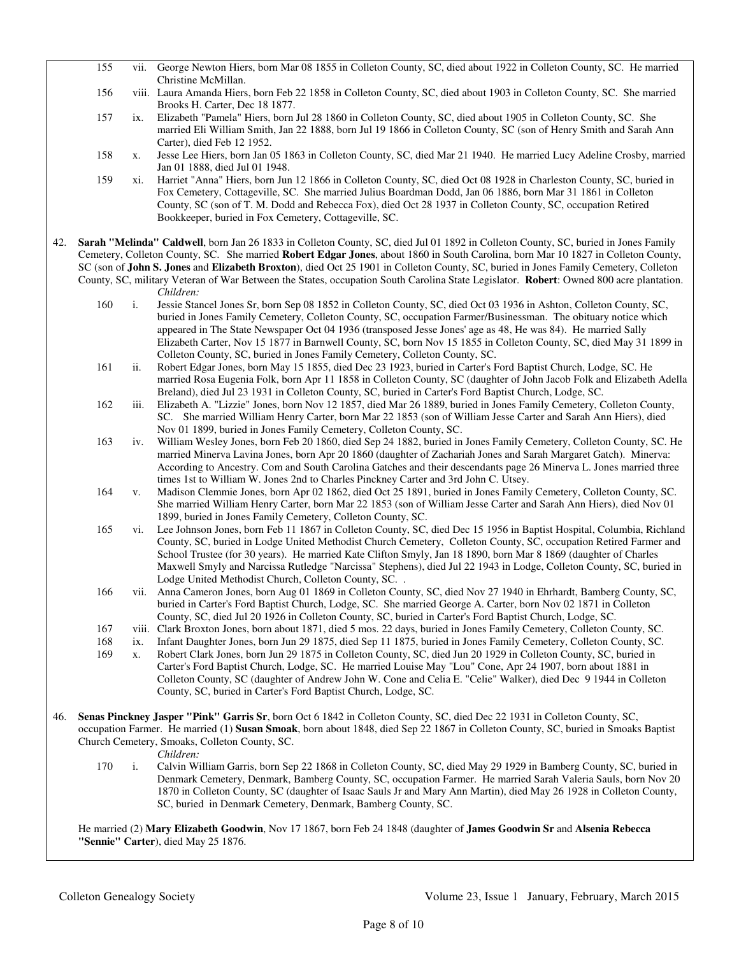|     | 155                                                                                                                                                                                                                                                                                                            |      | vii. George Newton Hiers, born Mar 08 1855 in Colleton County, SC, died about 1922 in Colleton County, SC. He married<br>Christine McMillan.                                                                                                                                                                                                                                                                                                                                                                                                             |
|-----|----------------------------------------------------------------------------------------------------------------------------------------------------------------------------------------------------------------------------------------------------------------------------------------------------------------|------|----------------------------------------------------------------------------------------------------------------------------------------------------------------------------------------------------------------------------------------------------------------------------------------------------------------------------------------------------------------------------------------------------------------------------------------------------------------------------------------------------------------------------------------------------------|
|     | 156                                                                                                                                                                                                                                                                                                            |      | viii. Laura Amanda Hiers, born Feb 22 1858 in Colleton County, SC, died about 1903 in Colleton County, SC. She married                                                                                                                                                                                                                                                                                                                                                                                                                                   |
|     |                                                                                                                                                                                                                                                                                                                |      | Brooks H. Carter, Dec 18 1877.                                                                                                                                                                                                                                                                                                                                                                                                                                                                                                                           |
|     | 157                                                                                                                                                                                                                                                                                                            | ix.  | Elizabeth "Pamela" Hiers, born Jul 28 1860 in Colleton County, SC, died about 1905 in Colleton County, SC. She<br>married Eli William Smith, Jan 22 1888, born Jul 19 1866 in Colleton County, SC (son of Henry Smith and Sarah Ann<br>Carter), died Feb 12 1952.                                                                                                                                                                                                                                                                                        |
|     | 158                                                                                                                                                                                                                                                                                                            | X.   | Jesse Lee Hiers, born Jan 05 1863 in Colleton County, SC, died Mar 21 1940. He married Lucy Adeline Crosby, married<br>Jan 01 1888, died Jul 01 1948.                                                                                                                                                                                                                                                                                                                                                                                                    |
|     | 159                                                                                                                                                                                                                                                                                                            | xi.  | Harriet "Anna" Hiers, born Jun 12 1866 in Colleton County, SC, died Oct 08 1928 in Charleston County, SC, buried in<br>Fox Cemetery, Cottageville, SC. She married Julius Boardman Dodd, Jan 06 1886, born Mar 31 1861 in Colleton<br>County, SC (son of T. M. Dodd and Rebecca Fox), died Oct 28 1937 in Colleton County, SC, occupation Retired<br>Bookkeeper, buried in Fox Cemetery, Cottageville, SC.                                                                                                                                               |
| 42. | Sarah "Melinda" Caldwell, born Jan 26 1833 in Colleton County, SC, died Jul 01 1892 in Colleton County, SC, buried in Jones Family<br>Cemetery, Colleton County, SC. She married Robert Edgar Jones, about 1860 in South Carolina, born Mar 10 1827 in Colleton County,                                        |      |                                                                                                                                                                                                                                                                                                                                                                                                                                                                                                                                                          |
|     |                                                                                                                                                                                                                                                                                                                |      | SC (son of John S. Jones and Elizabeth Broxton), died Oct 25 1901 in Colleton County, SC, buried in Jones Family Cemetery, Colleton                                                                                                                                                                                                                                                                                                                                                                                                                      |
|     |                                                                                                                                                                                                                                                                                                                |      | County, SC, military Veteran of War Between the States, occupation South Carolina State Legislator. Robert: Owned 800 acre plantation.<br>Children:                                                                                                                                                                                                                                                                                                                                                                                                      |
|     | 160                                                                                                                                                                                                                                                                                                            | i.   | Jessie Stancel Jones Sr, born Sep 08 1852 in Colleton County, SC, died Oct 03 1936 in Ashton, Colleton County, SC,<br>buried in Jones Family Cemetery, Colleton County, SC, occupation Farmer/Businessman. The obituary notice which<br>appeared in The State Newspaper Oct 04 1936 (transposed Jesse Jones' age as 48, He was 84). He married Sally<br>Elizabeth Carter, Nov 15 1877 in Barnwell County, SC, born Nov 15 1855 in Colleton County, SC, died May 31 1899 in<br>Colleton County, SC, buried in Jones Family Cemetery, Colleton County, SC. |
|     | 161                                                                                                                                                                                                                                                                                                            | ii.  | Robert Edgar Jones, born May 15 1855, died Dec 23 1923, buried in Carter's Ford Baptist Church, Lodge, SC. He<br>married Rosa Eugenia Folk, born Apr 11 1858 in Colleton County, SC (daughter of John Jacob Folk and Elizabeth Adella<br>Breland), died Jul 23 1931 in Colleton County, SC, buried in Carter's Ford Baptist Church, Lodge, SC.                                                                                                                                                                                                           |
|     | 162                                                                                                                                                                                                                                                                                                            | iii. | Elizabeth A. "Lizzie" Jones, born Nov 12 1857, died Mar 26 1889, buried in Jones Family Cemetery, Colleton County,<br>SC. She married William Henry Carter, born Mar 22 1853 (son of William Jesse Carter and Sarah Ann Hiers), died<br>Nov 01 1899, buried in Jones Family Cemetery, Colleton County, SC.                                                                                                                                                                                                                                               |
|     | 163                                                                                                                                                                                                                                                                                                            | iv.  | William Wesley Jones, born Feb 20 1860, died Sep 24 1882, buried in Jones Family Cemetery, Colleton County, SC. He<br>married Minerva Lavina Jones, born Apr 20 1860 (daughter of Zachariah Jones and Sarah Margaret Gatch). Minerva:<br>According to Ancestry. Com and South Carolina Gatches and their descendants page 26 Minerva L. Jones married three                                                                                                                                                                                              |
|     | 164                                                                                                                                                                                                                                                                                                            | V.   | times 1st to William W. Jones 2nd to Charles Pinckney Carter and 3rd John C. Utsey.<br>Madison Clemmie Jones, born Apr 02 1862, died Oct 25 1891, buried in Jones Family Cemetery, Colleton County, SC.<br>She married William Henry Carter, born Mar 22 1853 (son of William Jesse Carter and Sarah Ann Hiers), died Nov 01<br>1899, buried in Jones Family Cemetery, Colleton County, SC.                                                                                                                                                              |
|     | 165                                                                                                                                                                                                                                                                                                            | vi.  | Lee Johnson Jones, born Feb 11 1867 in Colleton County, SC, died Dec 15 1956 in Baptist Hospital, Columbia, Richland<br>County, SC, buried in Lodge United Methodist Church Cemetery, Colleton County, SC, occupation Retired Farmer and<br>School Trustee (for 30 years). He married Kate Clifton Smyly, Jan 18 1890, born Mar 8 1869 (daughter of Charles<br>Maxwell Smyly and Narcissa Rutledge "Narcissa" Stephens), died Jul 22 1943 in Lodge, Colleton County, SC, buried in<br>Lodge United Methodist Church, Colleton County, SC. .              |
|     | 166                                                                                                                                                                                                                                                                                                            |      | vii. Anna Cameron Jones, born Aug 01 1869 in Colleton County, SC, died Nov 27 1940 in Ehrhardt, Bamberg County, SC,<br>buried in Carter's Ford Baptist Church, Lodge, SC. She married George A. Carter, born Nov 02 1871 in Colleton<br>County, SC, died Jul 20 1926 in Colleton County, SC, buried in Carter's Ford Baptist Church, Lodge, SC.                                                                                                                                                                                                          |
|     | 167                                                                                                                                                                                                                                                                                                            |      | viii. Clark Broxton Jones, born about 1871, died 5 mos. 22 days, buried in Jones Family Cemetery, Colleton County, SC.                                                                                                                                                                                                                                                                                                                                                                                                                                   |
|     | 168                                                                                                                                                                                                                                                                                                            | ix.  | Infant Daughter Jones, born Jun 29 1875, died Sep 11 1875, buried in Jones Family Cemetery, Colleton County, SC.                                                                                                                                                                                                                                                                                                                                                                                                                                         |
|     | 169                                                                                                                                                                                                                                                                                                            | X.   | Robert Clark Jones, born Jun 29 1875 in Colleton County, SC, died Jun 20 1929 in Colleton County, SC, buried in<br>Carter's Ford Baptist Church, Lodge, SC. He married Louise May "Lou" Cone, Apr 24 1907, born about 1881 in<br>Colleton County, SC (daughter of Andrew John W. Cone and Celia E. "Celie" Walker), died Dec 9 1944 in Colleton<br>County, SC, buried in Carter's Ford Baptist Church, Lodge, SC.                                                                                                                                        |
| 46. | Senas Pinckney Jasper "Pink" Garris Sr, born Oct 6 1842 in Colleton County, SC, died Dec 22 1931 in Colleton County, SC,<br>occupation Farmer. He married (1) Susan Smoak, born about 1848, died Sep 22 1867 in Colleton County, SC, buried in Smoaks Baptist<br>Church Cemetery, Smoaks, Colleton County, SC. |      |                                                                                                                                                                                                                                                                                                                                                                                                                                                                                                                                                          |
|     | 170                                                                                                                                                                                                                                                                                                            | i.   | Children:<br>Calvin William Garris, born Sep 22 1868 in Colleton County, SC, died May 29 1929 in Bamberg County, SC, buried in<br>Denmark Cemetery, Denmark, Bamberg County, SC, occupation Farmer. He married Sarah Valeria Sauls, born Nov 20<br>1870 in Colleton County, SC (daughter of Isaac Sauls Jr and Mary Ann Martin), died May 26 1928 in Colleton County,<br>SC, buried in Denmark Cemetery, Denmark, Bamberg County, SC.                                                                                                                    |

 He married (2) **Mary Elizabeth Goodwin**, Nov 17 1867, born Feb 24 1848 (daughter of **James Goodwin Sr** and **Alsenia Rebecca "Sennie" Carter**), died May 25 1876.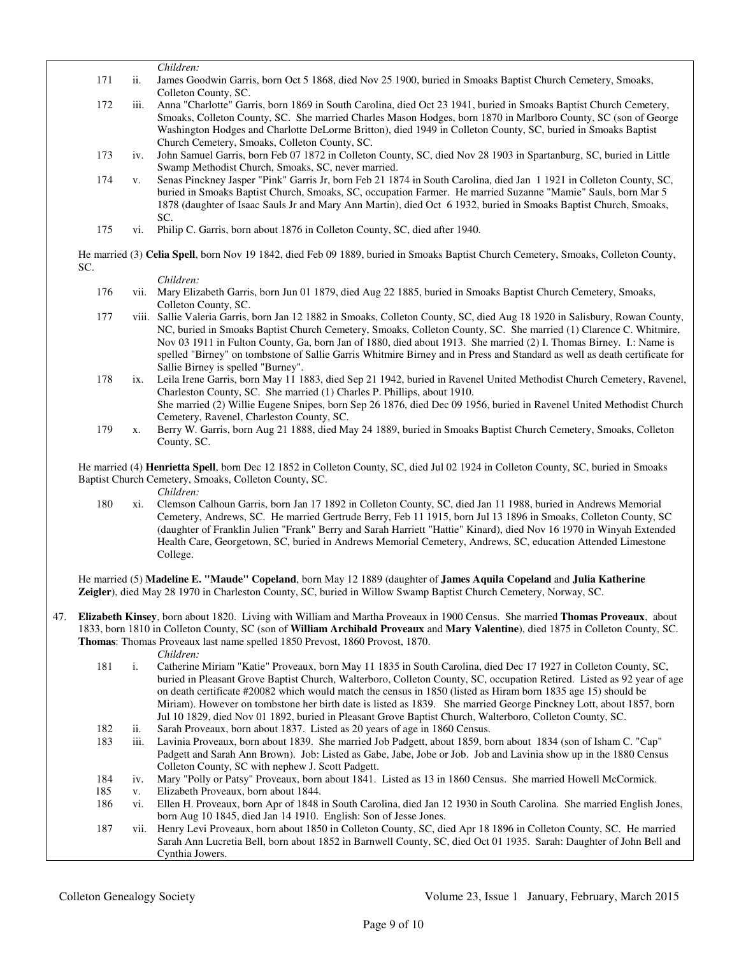*Children:*<br>171 ii. James Go ii. James Goodwin Garris, born Oct 5 1868, died Nov 25 1900, buried in Smoaks Baptist Church Cemetery, Smoaks, Colleton County, SC.

 172 iii. Anna "Charlotte" Garris, born 1869 in South Carolina, died Oct 23 1941, buried in Smoaks Baptist Church Cemetery, Smoaks, Colleton County, SC. She married Charles Mason Hodges, born 1870 in Marlboro County, SC (son of George Washington Hodges and Charlotte DeLorme Britton), died 1949 in Colleton County, SC, buried in Smoaks Baptist Church Cemetery, Smoaks, Colleton County, SC.

- 173 iv. John Samuel Garris, born Feb 07 1872 in Colleton County, SC, died Nov 28 1903 in Spartanburg, SC, buried in Little Swamp Methodist Church, Smoaks, SC, never married.
- 174 v. Senas Pinckney Jasper "Pink" Garris Jr, born Feb 21 1874 in South Carolina, died Jan 1 1921 in Colleton County, SC, buried in Smoaks Baptist Church, Smoaks, SC, occupation Farmer. He married Suzanne "Mamie" Sauls, born Mar 5 1878 (daughter of Isaac Sauls Jr and Mary Ann Martin), died Oct 6 1932, buried in Smoaks Baptist Church, Smoaks,  $SC$
- 175 vi. Philip C. Garris, born about 1876 in Colleton County, SC, died after 1940.

 He married (3) **Celia Spell**, born Nov 19 1842, died Feb 09 1889, buried in Smoaks Baptist Church Cemetery, Smoaks, Colleton County, SC.

*Children:*

- 176 vii. Mary Elizabeth Garris, born Jun 01 1879, died Aug 22 1885, buried in Smoaks Baptist Church Cemetery, Smoaks, Colleton County, SC.
- 177 viii. Sallie Valeria Garris, born Jan 12 1882 in Smoaks, Colleton County, SC, died Aug 18 1920 in Salisbury, Rowan County, NC, buried in Smoaks Baptist Church Cemetery, Smoaks, Colleton County, SC. She married (1) Clarence C. Whitmire, Nov 03 1911 in Fulton County, Ga, born Jan of 1880, died about 1913. She married (2) I. Thomas Birney. I.: Name is spelled "Birney" on tombstone of Sallie Garris Whitmire Birney and in Press and Standard as well as death certificate for Sallie Birney is spelled "Burney".
- 178 ix. Leila Irene Garris, born May 11 1883, died Sep 21 1942, buried in Ravenel United Methodist Church Cemetery, Ravenel, Charleston County, SC. She married (1) Charles P. Phillips, about 1910. She married (2) Willie Eugene Snipes, born Sep 26 1876, died Dec 09 1956, buried in Ravenel United Methodist Church Cemetery, Ravenel, Charleston County, SC.
- 179 x. Berry W. Garris, born Aug 21 1888, died May 24 1889, buried in Smoaks Baptist Church Cemetery, Smoaks, Colleton County, SC.

 He married (4) **Henrietta Spell**, born Dec 12 1852 in Colleton County, SC, died Jul 02 1924 in Colleton County, SC, buried in Smoaks Baptist Church Cemetery, Smoaks, Colleton County, SC.

*Children:*

 180 xi. Clemson Calhoun Garris, born Jan 17 1892 in Colleton County, SC, died Jan 11 1988, buried in Andrews Memorial Cemetery, Andrews, SC. He married Gertrude Berry, Feb 11 1915, born Jul 13 1896 in Smoaks, Colleton County, SC (daughter of Franklin Julien "Frank" Berry and Sarah Harriett "Hattie" Kinard), died Nov 16 1970 in Winyah Extended Health Care, Georgetown, SC, buried in Andrews Memorial Cemetery, Andrews, SC, education Attended Limestone College.

 He married (5) **Madeline E. "Maude" Copeland**, born May 12 1889 (daughter of **James Aquila Copeland** and **Julia Katherine Zeigler**), died May 28 1970 in Charleston County, SC, buried in Willow Swamp Baptist Church Cemetery, Norway, SC.

47. **Elizabeth Kinsey**, born about 1820. Living with William and Martha Proveaux in 1900 Census. She married **Thomas Proveaux**, about 1833, born 1810 in Colleton County, SC (son of **William Archibald Proveaux** and **Mary Valentine**), died 1875 in Colleton County, SC. **Thomas**: Thomas Proveaux last name spelled 1850 Prevost, 1860 Provost, 1870.

- *Children:*<br>181 i Catherine 1. Catherine Miriam "Katie" Proveaux, born May 11 1835 in South Carolina, died Dec 17 1927 in Colleton County, SC, buried in Pleasant Grove Baptist Church, Walterboro, Colleton County, SC, occupation Retired. Listed as 92 year of age on death certificate #20082 which would match the census in 1850 (listed as Hiram born 1835 age 15) should be Miriam). However on tombstone her birth date is listed as 1839. She married George Pinckney Lott, about 1857, born Jul 10 1829, died Nov 01 1892, buried in Pleasant Grove Baptist Church, Walterboro, Colleton County, SC.
- 182 ii. Sarah Proveaux, born about 1837. Listed as 20 years of age in 1860 Census.
- 183 iii. Lavinia Proveaux, born about 1839. She married Job Padgett, about 1859, born about 1834 (son of Isham C. "Cap" Padgett and Sarah Ann Brown). Job: Listed as Gabe, Jabe, Jobe or Job. Job and Lavinia show up in the 1880 Census Colleton County, SC with nephew J. Scott Padgett.
- 184 iv. Mary "Polly or Patsy" Proveaux, born about 1841. Listed as 13 in 1860 Census. She married Howell McCormick.
- 185 v. Elizabeth Proveaux, born about 1844.
- 186 vi. Ellen H. Proveaux, born Apr of 1848 in South Carolina, died Jan 12 1930 in South Carolina. She married English Jones, born Aug 10 1845, died Jan 14 1910. English: Son of Jesse Jones.
- 187 vii. Henry Levi Proveaux, born about 1850 in Colleton County, SC, died Apr 18 1896 in Colleton County, SC. He married Sarah Ann Lucretia Bell, born about 1852 in Barnwell County, SC, died Oct 01 1935. Sarah: Daughter of John Bell and Cynthia Jowers.